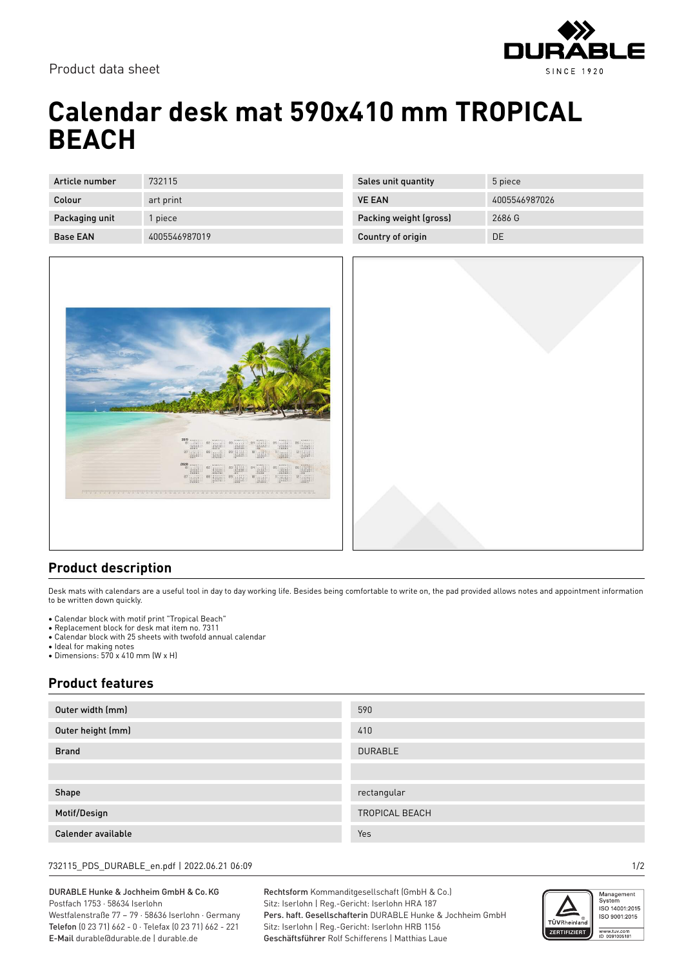

Product data sheet

# **Calendar desk mat 590x410 mm TROPICAL BEACH**

| Article number  | 732115        |
|-----------------|---------------|
| Colour          | art print     |
| Packaging unit  | 1 piece       |
| <b>Base FAN</b> | 4005546987019 |

| Sales unit quantity    | 5 piece       |
|------------------------|---------------|
| <b>VE FAN</b>          | 4005546987026 |
| Packing weight (gross) | 2686 G        |
| Country of origin      | DF.           |





### **Product description**

Desk mats with calendars are a useful tool in day to day working life. Besides being comfortable to write on, the pad provided allows notes and appointment information to be written down quickly.

- Calendar block with motif print "Tropical Beach"
- Replacement block for desk mat item no. 7311
- Calendar block with 25 sheets with twofold annual calendar
- Ideal for making notes
- Dimensions: 570 x 410 mm (W x H)

### **Product features**

| Outer width (mm)   | 590            |
|--------------------|----------------|
| Outer height (mm)  | 410            |
| <b>Brand</b>       | <b>DURABLE</b> |
|                    |                |
| Shape              | rectangular    |
| Motif/Design       | TROPICAL BEACH |
| Calender available | Yes            |

#### 732115\_PDS\_DURABLE\_en.pdf | 2022.06.21 06:09 1/2

DURABLE Hunke & Jochheim GmbH & Co.KG Postfach 1753 · 58634 Iserlohn Westfalenstraße 77 – 79 · 58636 Iserlohn · Germany Telefon (0 23 71) 662 - 0 · Telefax (0 23 71) 662 - 221

E-Mail durable@durable.de | durable.de

Rechtsform Kommanditgesellschaft (GmbH & Co.) Sitz: Iserlohn | Reg.-Gericht: Iserlohn HRA 187 Pers. haft. Gesellschafterin DURABLE Hunke & Jochheim GmbH Sitz: Iserlohn | Reg.-Gericht: Iserlohn HRB 1156 Geschäftsführer Rolf Schifferens | Matthias Laue